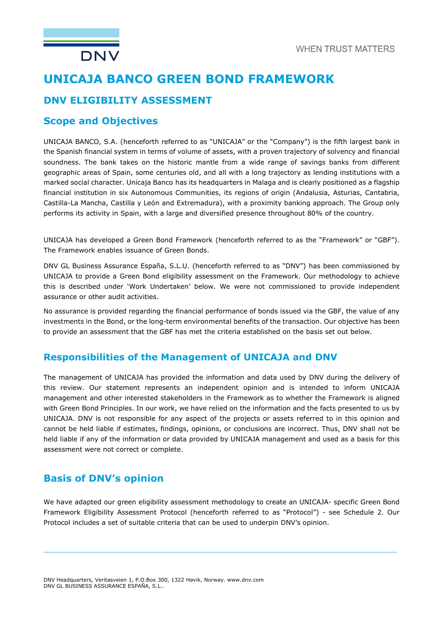# UNICAJA BANCO GREEN BOND FRAMEWORK

### DNV ELIGIBILITY ASSESSMENT

### Scope and Objectives

**DNV** 

UNICAJA BANCO, S.A. (henceforth referred to as "UNICAJA" or the "Company") is the fifth largest bank in the Spanish financial system in terms of volume of assets, with a proven trajectory of solvency and financial soundness. The bank takes on the historic mantle from a wide range of savings banks from different geographic areas of Spain, some centuries old, and all with a long trajectory as lending institutions with a marked social character. Unicaja Banco has its headquarters in Malaga and is clearly positioned as a flagship financial institution in six Autonomous Communities, its regions of origin (Andalusia, Asturias, Cantabria, Castilla-La Mancha, Castilla y León and Extremadura), with a proximity banking approach. The Group only performs its activity in Spain, with a large and diversified presence throughout 80% of the country.

UNICAJA has developed a Green Bond Framework (henceforth referred to as the "Framework" or "GBF"). The Framework enables issuance of Green Bonds.

DNV GL Business Assurance España, S.L.U. (henceforth referred to as "DNV") has been commissioned by UNICAJA to provide a Green Bond eligibility assessment on the Framework. Our methodology to achieve this is described under 'Work Undertaken' below. We were not commissioned to provide independent assurance or other audit activities.

No assurance is provided regarding the financial performance of bonds issued via the GBF, the value of any investments in the Bond, or the long-term environmental benefits of the transaction. Our objective has been to provide an assessment that the GBF has met the criteria established on the basis set out below.

### Responsibilities of the Management of UNICAJA and DNV

The management of UNICAJA has provided the information and data used by DNV during the delivery of this review. Our statement represents an independent opinion and is intended to inform UNICAJA management and other interested stakeholders in the Framework as to whether the Framework is aligned with Green Bond Principles. In our work, we have relied on the information and the facts presented to us by UNICAJA. DNV is not responsible for any aspect of the projects or assets referred to in this opinion and cannot be held liable if estimates, findings, opinions, or conclusions are incorrect. Thus, DNV shall not be held liable if any of the information or data provided by UNICAJA management and used as a basis for this assessment were not correct or complete.

### Basis of DNV's opinion

We have adapted our green eligibility assessment methodology to create an UNICAJA- specific Green Bond Framework Eligibility Assessment Protocol (henceforth referred to as "Protocol") - see Schedule 2. Our Protocol includes a set of suitable criteria that can be used to underpin DNV's opinion.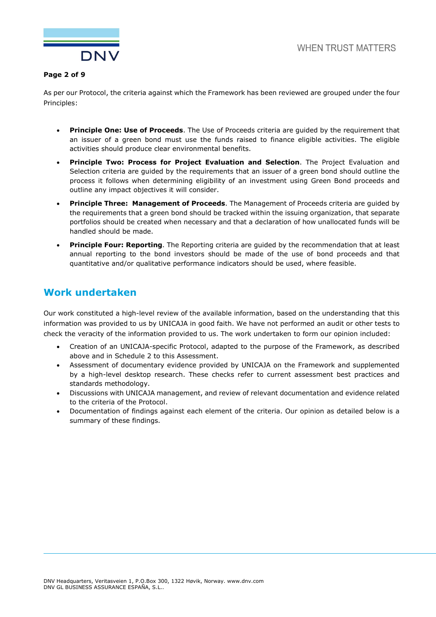

#### Page 2 of 9

As per our Protocol, the criteria against which the Framework has been reviewed are grouped under the four Principles:

- **Principle One: Use of Proceeds.** The Use of Proceeds criteria are guided by the requirement that an issuer of a green bond must use the funds raised to finance eligible activities. The eligible activities should produce clear environmental benefits.
- Principle Two: Process for Project Evaluation and Selection. The Project Evaluation and Selection criteria are guided by the requirements that an issuer of a green bond should outline the process it follows when determining eligibility of an investment using Green Bond proceeds and outline any impact objectives it will consider.
- Principle Three: Management of Proceeds. The Management of Proceeds criteria are guided by the requirements that a green bond should be tracked within the issuing organization, that separate portfolios should be created when necessary and that a declaration of how unallocated funds will be handled should be made.
- Principle Four: Reporting. The Reporting criteria are guided by the recommendation that at least annual reporting to the bond investors should be made of the use of bond proceeds and that quantitative and/or qualitative performance indicators should be used, where feasible.

### Work undertaken

Our work constituted a high-level review of the available information, based on the understanding that this information was provided to us by UNICAJA in good faith. We have not performed an audit or other tests to check the veracity of the information provided to us. The work undertaken to form our opinion included:

- Creation of an UNICAJA-specific Protocol, adapted to the purpose of the Framework, as described above and in Schedule 2 to this Assessment.
- Assessment of documentary evidence provided by UNICAJA on the Framework and supplemented by a high-level desktop research. These checks refer to current assessment best practices and standards methodology.
- Discussions with UNICAJA management, and review of relevant documentation and evidence related to the criteria of the Protocol.
- Documentation of findings against each element of the criteria. Our opinion as detailed below is a summary of these findings.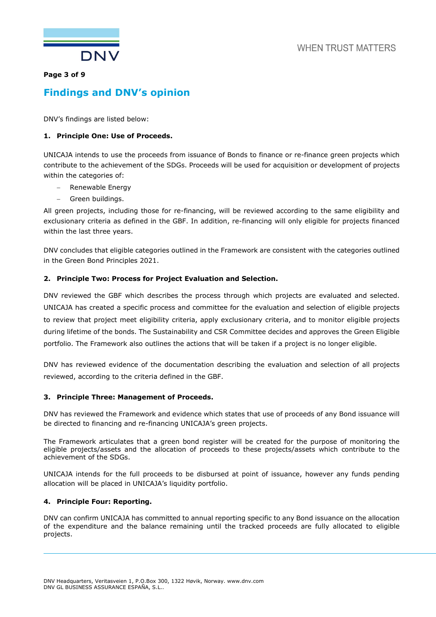



#### Page 3 of 9

## Findings and DNV's opinion

DNV's findings are listed below:

#### 1. Principle One: Use of Proceeds.

UNICAJA intends to use the proceeds from issuance of Bonds to finance or re-finance green projects which contribute to the achievement of the SDGs. Proceeds will be used for acquisition or development of projects within the categories of:

- Renewable Energy
- Green buildings.

All green projects, including those for re-financing, will be reviewed according to the same eligibility and exclusionary criteria as defined in the GBF. In addition, re-financing will only eligible for projects financed within the last three years.

DNV concludes that eligible categories outlined in the Framework are consistent with the categories outlined in the Green Bond Principles 2021.

#### 2. Principle Two: Process for Project Evaluation and Selection.

DNV reviewed the GBF which describes the process through which projects are evaluated and selected. UNICAJA has created a specific process and committee for the evaluation and selection of eligible projects to review that project meet eligibility criteria, apply exclusionary criteria, and to monitor eligible projects during lifetime of the bonds. The Sustainability and CSR Committee decides and approves the Green Eligible portfolio. The Framework also outlines the actions that will be taken if a project is no longer eligible.

DNV has reviewed evidence of the documentation describing the evaluation and selection of all projects reviewed, according to the criteria defined in the GBF.

#### 3. Principle Three: Management of Proceeds.

DNV has reviewed the Framework and evidence which states that use of proceeds of any Bond issuance will be directed to financing and re-financing UNICAJA's green projects.

The Framework articulates that a green bond register will be created for the purpose of monitoring the eligible projects/assets and the allocation of proceeds to these projects/assets which contribute to the achievement of the SDGs.

UNICAJA intends for the full proceeds to be disbursed at point of issuance, however any funds pending allocation will be placed in UNICAJA's liquidity portfolio.

#### 4. Principle Four: Reporting.

DNV can confirm UNICAJA has committed to annual reporting specific to any Bond issuance on the allocation of the expenditure and the balance remaining until the tracked proceeds are fully allocated to eligible projects.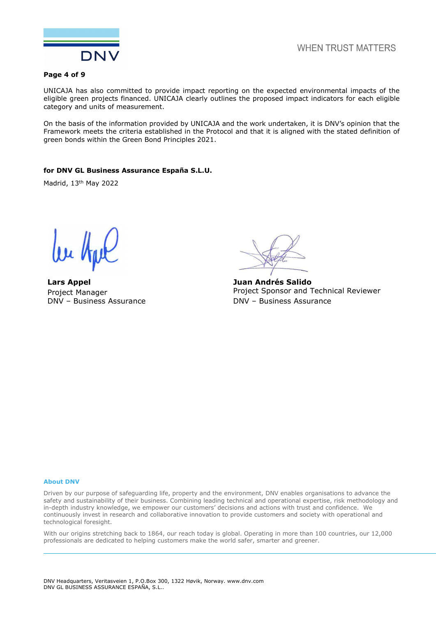

**WHEN TRUST MATTERS** 

#### Page 4 of 9

UNICAJA has also committed to provide impact reporting on the expected environmental impacts of the eligible green projects financed. UNICAJA clearly outlines the proposed impact indicators for each eligible category and units of measurement.

On the basis of the information provided by UNICAJA and the work undertaken, it is DNV's opinion that the Framework meets the criteria established in the Protocol and that it is aligned with the stated definition of green bonds within the Green Bond Principles 2021.

#### for DNV GL Business Assurance España S.L.U.

Madrid, 13th May 2022

Lars Appel Project Manager DNV – Business Assurance

Juan Andrés Salido Project Sponsor and Technical Reviewer DNV – Business Assurance

#### About DNV

Driven by our purpose of safeguarding life, property and the environment, DNV enables organisations to advance the safety and sustainability of their business. Combining leading technical and operational expertise, risk methodology and in-depth industry knowledge, we empower our customers' decisions and actions with trust and confidence. We continuously invest in research and collaborative innovation to provide customers and society with operational and technological foresight.

With our origins stretching back to 1864, our reach today is global. Operating in more than 100 countries, our 12,000 professionals are dedicated to helping customers make the world safer, smarter and greener.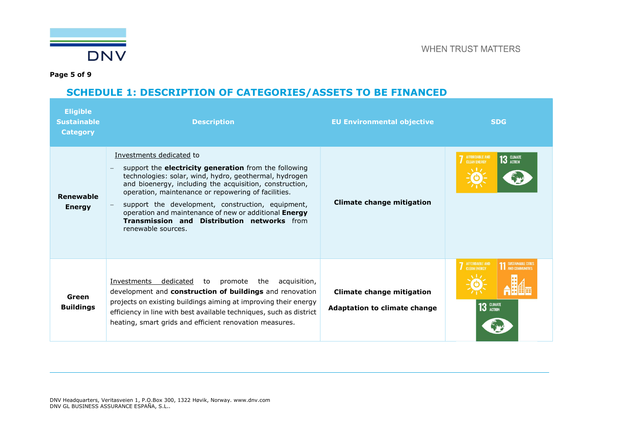

Page 5 of 9

## SCHEDULE 1: DESCRIPTION OF CATEGORIES/ASSETS TO BE FINANCED

| <b>Eligible</b><br><b>Sustainable</b><br><b>Category</b> | <b>Description</b>                                                                                                                                                                                                                                                                                                                                                                                                                               | <b>EU Environmental objective</b>                                       | <b>SDG</b>                                                                                   |
|----------------------------------------------------------|--------------------------------------------------------------------------------------------------------------------------------------------------------------------------------------------------------------------------------------------------------------------------------------------------------------------------------------------------------------------------------------------------------------------------------------------------|-------------------------------------------------------------------------|----------------------------------------------------------------------------------------------|
| Renewable<br><b>Energy</b>                               | Investments dedicated to<br>support the electricity generation from the following<br>technologies: solar, wind, hydro, geothermal, hydrogen<br>and bioenergy, including the acquisition, construction,<br>operation, maintenance or repowering of facilities.<br>support the development, construction, equipment,<br>operation and maintenance of new or additional Energy<br>Transmission and Distribution networks from<br>renewable sources. | Climate change mitigation                                               | <b>AFFORDABLE AND</b><br>$13$ GLIMATE<br><b>CLEAN ENERGY</b>                                 |
| Green<br><b>Buildings</b>                                | Investments<br>dedicated<br>the<br>to<br>promote<br>acquisition,<br>development and construction of buildings and renovation<br>projects on existing buildings aiming at improving their energy<br>efficiency in line with best available techniques, such as district<br>heating, smart grids and efficient renovation measures.                                                                                                                | <b>Climate change mitigation</b><br><b>Adaptation to climate change</b> | <b>7</b> AFFORDABLE AND<br><b>11 SUSTAINABLE CITIES</b><br><b>CLEAN ENFROY</b><br>13 GLIMATE |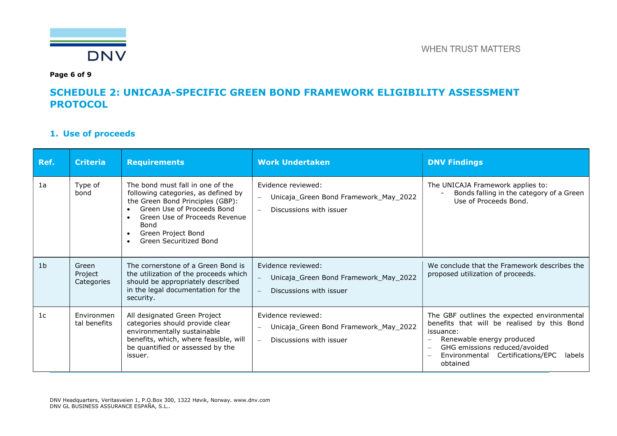

Page 6 of 9

### SCHEDULE 2: UNICAJA-SPECIFIC GREEN BOND FRAMEWORK ELIGIBILITY ASSESSMENT **PROTOCOL**

### 1. Use of proceeds

| Ref.           | <b>Criteria</b>                | <b>Requirements</b>                                                                                                                                                                                                                | <b>Work Undertaken</b>                                                                                                         | <b>DNV Findings</b>                                                                                                                                                                                                             |
|----------------|--------------------------------|------------------------------------------------------------------------------------------------------------------------------------------------------------------------------------------------------------------------------------|--------------------------------------------------------------------------------------------------------------------------------|---------------------------------------------------------------------------------------------------------------------------------------------------------------------------------------------------------------------------------|
| 1a             | Type of<br>bond                | The bond must fall in one of the<br>following categories, as defined by<br>the Green Bond Principles (GBP):<br>Green Use of Proceeds Bond<br>Green Use of Proceeds Revenue<br>Bond<br>Green Project Bond<br>Green Securitized Bond | Evidence reviewed:<br>Unicaja_Green Bond Framework_May_2022<br>$\equiv$<br>Discussions with issuer                             | The UNICAJA Framework applies to:<br>Bonds falling in the category of a Green<br>Use of Proceeds Bond.                                                                                                                          |
| 1 <sub>b</sub> | Green<br>Project<br>Categories | The cornerstone of a Green Bond is<br>the utilization of the proceeds which<br>should be appropriately described<br>in the legal documentation for the<br>security.                                                                | Evidence reviewed:<br>Unicaja_Green Bond Framework_May_2022<br>$\overline{\phantom{m}}$<br>Discussions with issuer<br>$\equiv$ | We conclude that the Framework describes the<br>proposed utilization of proceeds.                                                                                                                                               |
| 1 <sub>c</sub> | Environmen<br>tal benefits     | All designated Green Project<br>categories should provide clear<br>environmentally sustainable<br>benefits, which, where feasible, will<br>be quantified or assessed by the<br>issuer.                                             | Evidence reviewed:<br>Unicaja_Green Bond Framework_May_2022<br>$\overline{\phantom{0}}$<br>Discussions with issuer<br>$\sim$   | The GBF outlines the expected environmental<br>benefits that will be realised by this Bond<br>issuance:<br>Renewable energy produced<br>GHG emissions reduced/avoided<br>Environmental Certifications/EPC<br>labels<br>obtained |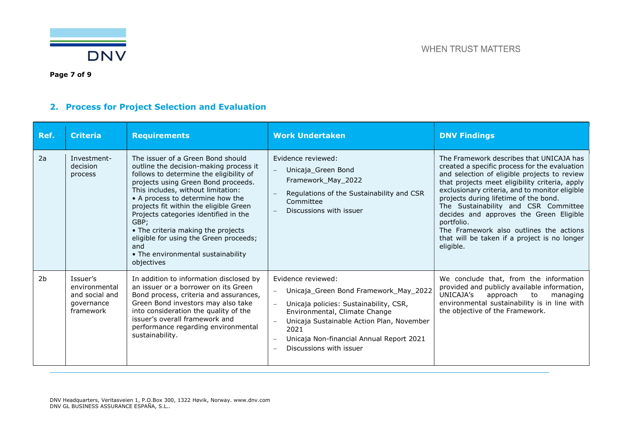

## 2. Process for Project Selection and Evaluation

| Ref.           | <b>Criteria</b>                                                        | <b>Requirements</b>                                                                                                                                                                                                                                                                                                                                                                                                                                                           | <b>Work Undertaken</b>                                                                                                                                                                                                                                                                                                                                                      | <b>DNV Findings</b>                                                                                                                                                                                                                                                                                                                                                                                                                                                                             |
|----------------|------------------------------------------------------------------------|-------------------------------------------------------------------------------------------------------------------------------------------------------------------------------------------------------------------------------------------------------------------------------------------------------------------------------------------------------------------------------------------------------------------------------------------------------------------------------|-----------------------------------------------------------------------------------------------------------------------------------------------------------------------------------------------------------------------------------------------------------------------------------------------------------------------------------------------------------------------------|-------------------------------------------------------------------------------------------------------------------------------------------------------------------------------------------------------------------------------------------------------------------------------------------------------------------------------------------------------------------------------------------------------------------------------------------------------------------------------------------------|
| 2a             | Investment-<br>decision<br>process                                     | The issuer of a Green Bond should<br>outline the decision-making process it<br>follows to determine the eligibility of<br>projects using Green Bond proceeds.<br>This includes, without limitation:<br>• A process to determine how the<br>projects fit within the eligible Green<br>Projects categories identified in the<br>GBP;<br>• The criteria making the projects<br>eligible for using the Green proceeds;<br>and<br>• The environmental sustainability<br>objectives | Evidence reviewed:<br>Unicaja_Green Bond<br>$\equiv$<br>Framework_May_2022<br>Regulations of the Sustainability and CSR<br>Committee<br>Discussions with issuer                                                                                                                                                                                                             | The Framework describes that UNICAJA has<br>created a specific process for the evaluation<br>and selection of eligible projects to review<br>that projects meet eligibility criteria, apply<br>exclusionary criteria, and to monitor eligible<br>projects during lifetime of the bond.<br>The Sustainability and CSR Committee<br>decides and approves the Green Eligible<br>portfolio.<br>The Framework also outlines the actions<br>that will be taken if a project is no longer<br>eligible. |
| 2 <sub>b</sub> | Issuer's<br>environmental<br>and social and<br>governance<br>framework | In addition to information disclosed by<br>an issuer or a borrower on its Green<br>Bond process, criteria and assurances,<br>Green Bond investors may also take<br>into consideration the quality of the<br>issuer's overall framework and<br>performance regarding environmental<br>sustainability.                                                                                                                                                                          | Evidence reviewed:<br>Unicaja_Green Bond Framework_May_2022<br>$\qquad \qquad -$<br>Unicaja policies: Sustainability, CSR,<br>$\overline{\phantom{m}}$<br>Environmental, Climate Change<br>Unicaja Sustainable Action Plan, November<br>2021<br>Unicaja Non-financial Annual Report 2021<br>$\overline{\phantom{m}}$<br>Discussions with issuer<br>$\overline{\phantom{a}}$ | We conclude that, from the information<br>provided and publicly available information,<br>UNICAJA's<br>approach<br>to<br>managing<br>environmental sustainability is in line with<br>the objective of the Framework.                                                                                                                                                                                                                                                                            |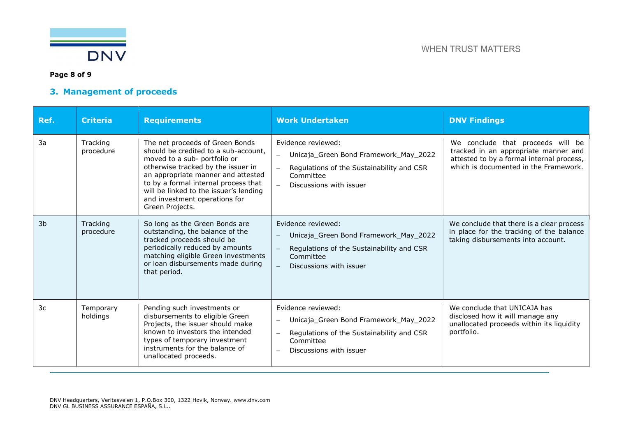

### Page 8 of 9

### 3. Management of proceeds

| Ref.           | <b>Criteria</b>       | <b>Requirements</b>                                                                                                                                                                                                                                                                                                       | <b>Work Undertaken</b>                                                                                                                                       | <b>DNV Findings</b>                                                                                                                                             |
|----------------|-----------------------|---------------------------------------------------------------------------------------------------------------------------------------------------------------------------------------------------------------------------------------------------------------------------------------------------------------------------|--------------------------------------------------------------------------------------------------------------------------------------------------------------|-----------------------------------------------------------------------------------------------------------------------------------------------------------------|
| 3a             | Tracking<br>procedure | The net proceeds of Green Bonds<br>should be credited to a sub-account,<br>moved to a sub- portfolio or<br>otherwise tracked by the issuer in<br>an appropriate manner and attested<br>to by a formal internal process that<br>will be linked to the issuer's lending<br>and investment operations for<br>Green Projects. | Evidence reviewed:<br>Unicaja_Green Bond Framework_May_2022<br>$\equiv$<br>Regulations of the Sustainability and CSR<br>Committee<br>Discussions with issuer | We conclude that proceeds will be<br>tracked in an appropriate manner and<br>attested to by a formal internal process,<br>which is documented in the Framework. |
| 3 <sub>b</sub> | Tracking<br>procedure | So long as the Green Bonds are<br>outstanding, the balance of the<br>tracked proceeds should be<br>periodically reduced by amounts<br>matching eligible Green investments<br>or loan disbursements made during<br>that period.                                                                                            | Evidence reviewed:<br>Unicaja_Green Bond Framework_May_2022<br>Regulations of the Sustainability and CSR<br>Committee<br>Discussions with issuer             | We conclude that there is a clear process<br>in place for the tracking of the balance<br>taking disbursements into account.                                     |
| 3c             | Temporary<br>holdings | Pending such investments or<br>disbursements to eligible Green<br>Projects, the issuer should make<br>known to investors the intended<br>types of temporary investment<br>instruments for the balance of<br>unallocated proceeds.                                                                                         | Evidence reviewed:<br>Unicaja_Green Bond Framework_May_2022<br>Regulations of the Sustainability and CSR<br>Committee<br>Discussions with issuer             | We conclude that UNICAJA has<br>disclosed how it will manage any<br>unallocated proceeds within its liquidity<br>portfolio.                                     |